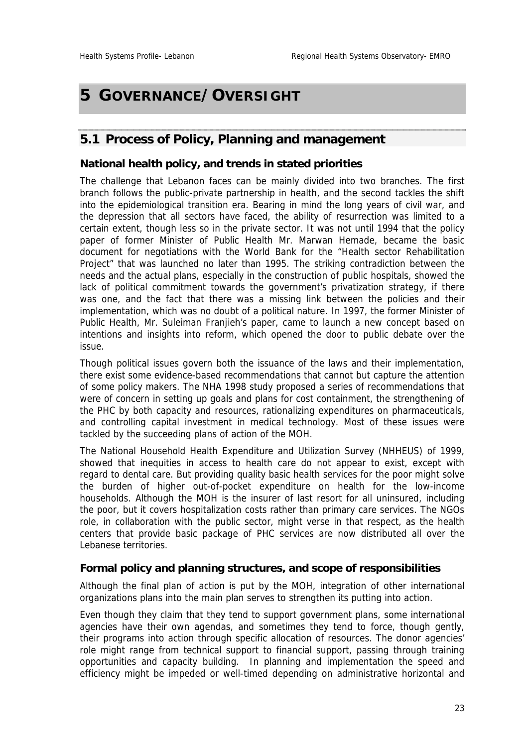# **5 GOVERNANCE/OVERSIGHT**

## **5.1 Process of Policy, Planning and management**

#### **National health policy, and trends in stated priorities**

The challenge that Lebanon faces can be mainly divided into two branches. The first branch follows the public-private partnership in health, and the second tackles the shift into the epidemiological transition era. Bearing in mind the long years of civil war, and the depression that all sectors have faced, the ability of resurrection was limited to a certain extent, though less so in the private sector. It was not until 1994 that the policy paper of former Minister of Public Health Mr. Marwan Hemade, became the basic document for negotiations with the World Bank for the "Health sector Rehabilitation Project" that was launched no later than 1995. The striking contradiction between the needs and the actual plans, especially in the construction of public hospitals, showed the lack of political commitment towards the government's privatization strategy, if there was one, and the fact that there was a missing link between the policies and their implementation, which was no doubt of a political nature. In 1997, the former Minister of Public Health, Mr. Suleiman Franjieh's paper, came to launch a new concept based on intentions and insights into reform, which opened the door to public debate over the issue.

Though political issues govern both the issuance of the laws and their implementation, there exist some evidence-based recommendations that cannot but capture the attention of some policy makers. The NHA 1998 study proposed a series of recommendations that were of concern in setting up goals and plans for cost containment, the strengthening of the PHC by both capacity and resources, rationalizing expenditures on pharmaceuticals, and controlling capital investment in medical technology. Most of these issues were tackled by the succeeding plans of action of the MOH.

The National Household Health Expenditure and Utilization Survey (NHHEUS) of 1999, showed that inequities in access to health care do not appear to exist, except with regard to dental care. But providing quality basic health services for the poor might solve the burden of higher out-of-pocket expenditure on health for the low-income households. Although the MOH is the insurer of last resort for all uninsured, including the poor, but it covers hospitalization costs rather than primary care services. The NGOs role, in collaboration with the public sector, might verse in that respect, as the health centers that provide basic package of PHC services are now distributed all over the Lebanese territories.

## **Formal policy and planning structures, and scope of responsibilities**

Although the final plan of action is put by the MOH, integration of other international organizations plans into the main plan serves to strengthen its putting into action.

Even though they claim that they tend to support government plans, some international agencies have their own agendas, and sometimes they tend to force, though gently, their programs into action through specific allocation of resources. The donor agencies' role might range from technical support to financial support, passing through training opportunities and capacity building. In planning and implementation the speed and efficiency might be impeded or well-timed depending on administrative horizontal and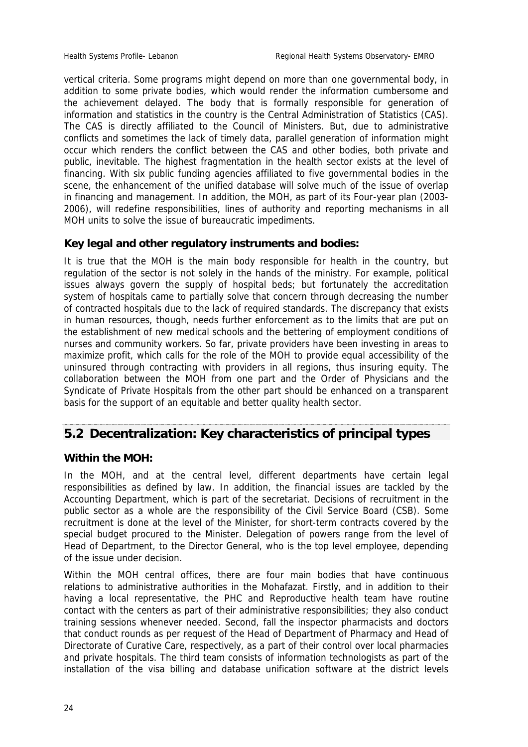vertical criteria. Some programs might depend on more than one governmental body, in addition to some private bodies, which would render the information cumbersome and the achievement delayed. The body that is formally responsible for generation of information and statistics in the country is the Central Administration of Statistics (CAS). The CAS is directly affiliated to the Council of Ministers. But, due to administrative conflicts and sometimes the lack of timely data, parallel generation of information might occur which renders the conflict between the CAS and other bodies, both private and public, inevitable. The highest fragmentation in the health sector exists at the level of financing. With six public funding agencies affiliated to five governmental bodies in the scene, the enhancement of the unified database will solve much of the issue of overlap in financing and management. In addition, the MOH, as part of its Four-year plan (2003- 2006), will redefine responsibilities, lines of authority and reporting mechanisms in all MOH units to solve the issue of bureaucratic impediments.

## **Key legal and other regulatory instruments and bodies:**

It is true that the MOH is the main body responsible for health in the country, but regulation of the sector is not solely in the hands of the ministry. For example, political issues always govern the supply of hospital beds; but fortunately the accreditation system of hospitals came to partially solve that concern through decreasing the number of contracted hospitals due to the lack of required standards. The discrepancy that exists in human resources, though, needs further enforcement as to the limits that are put on the establishment of new medical schools and the bettering of employment conditions of nurses and community workers. So far, private providers have been investing in areas to maximize profit, which calls for the role of the MOH to provide equal accessibility of the uninsured through contracting with providers in all regions, thus insuring equity. The collaboration between the MOH from one part and the Order of Physicians and the Syndicate of Private Hospitals from the other part should be enhanced on a transparent basis for the support of an equitable and better quality health sector.

# **5.2 Decentralization: Key characteristics of principal types**

#### **Within the MOH:**

In the MOH, and at the central level, different departments have certain legal responsibilities as defined by law. In addition, the financial issues are tackled by the Accounting Department, which is part of the secretariat. Decisions of recruitment in the public sector as a whole are the responsibility of the Civil Service Board (CSB). Some recruitment is done at the level of the Minister, for short-term contracts covered by the special budget procured to the Minister. Delegation of powers range from the level of Head of Department, to the Director General, who is the top level employee, depending of the issue under decision.

Within the MOH central offices, there are four main bodies that have continuous relations to administrative authorities in the Mohafazat. Firstly, and in addition to their having a local representative, the PHC and Reproductive health team have routine contact with the centers as part of their administrative responsibilities; they also conduct training sessions whenever needed. Second, fall the inspector pharmacists and doctors that conduct rounds as per request of the Head of Department of Pharmacy and Head of Directorate of Curative Care, respectively, as a part of their control over local pharmacies and private hospitals. The third team consists of information technologists as part of the installation of the visa billing and database unification software at the district levels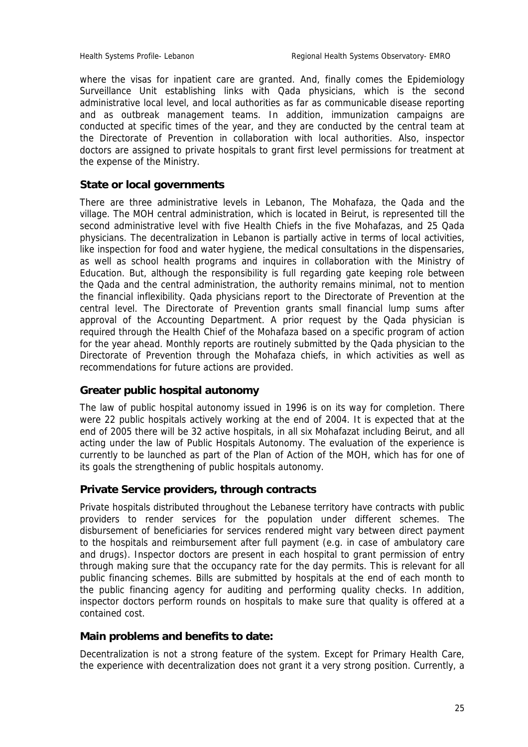where the visas for inpatient care are granted. And, finally comes the Epidemiology Surveillance Unit establishing links with Qada physicians, which is the second administrative local level, and local authorities as far as communicable disease reporting and as outbreak management teams. In addition, immunization campaigns are conducted at specific times of the year, and they are conducted by the central team at the Directorate of Prevention in collaboration with local authorities. Also, inspector doctors are assigned to private hospitals to grant first level permissions for treatment at the expense of the Ministry.

## **State or local governments**

There are three administrative levels in Lebanon, The Mohafaza, the Qada and the village. The MOH central administration, which is located in Beirut, is represented till the second administrative level with five Health Chiefs in the five Mohafazas, and 25 Qada physicians. The decentralization in Lebanon is partially active in terms of local activities, like inspection for food and water hygiene, the medical consultations in the dispensaries, as well as school health programs and inquires in collaboration with the Ministry of Education. But, although the responsibility is full regarding gate keeping role between the Qada and the central administration, the authority remains minimal, not to mention the financial inflexibility. Qada physicians report to the Directorate of Prevention at the central level. The Directorate of Prevention grants small financial lump sums after approval of the Accounting Department. A prior request by the Qada physician is required through the Health Chief of the Mohafaza based on a specific program of action for the year ahead. Monthly reports are routinely submitted by the Qada physician to the Directorate of Prevention through the Mohafaza chiefs, in which activities as well as recommendations for future actions are provided.

## **Greater public hospital autonomy**

The law of public hospital autonomy issued in 1996 is on its way for completion. There were 22 public hospitals actively working at the end of 2004. It is expected that at the end of 2005 there will be 32 active hospitals, in all six Mohafazat including Beirut, and all acting under the law of Public Hospitals Autonomy. The evaluation of the experience is currently to be launched as part of the Plan of Action of the MOH, which has for one of its goals the strengthening of public hospitals autonomy.

## **Private Service providers, through contracts**

Private hospitals distributed throughout the Lebanese territory have contracts with public providers to render services for the population under different schemes. The disbursement of beneficiaries for services rendered might vary between direct payment to the hospitals and reimbursement after full payment (e.g. in case of ambulatory care and drugs). Inspector doctors are present in each hospital to grant permission of entry through making sure that the occupancy rate for the day permits. This is relevant for all public financing schemes. Bills are submitted by hospitals at the end of each month to the public financing agency for auditing and performing quality checks. In addition, inspector doctors perform rounds on hospitals to make sure that quality is offered at a contained cost.

#### **Main problems and benefits to date:**

Decentralization is not a strong feature of the system. Except for Primary Health Care, the experience with decentralization does not grant it a very strong position. Currently, a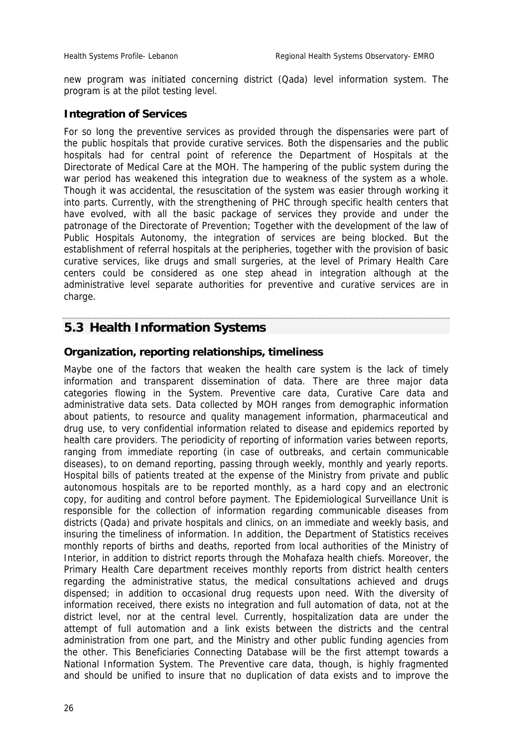new program was initiated concerning district (Qada) level information system. The program is at the pilot testing level.

#### **Integration of Services**

For so long the preventive services as provided through the dispensaries were part of the public hospitals that provide curative services. Both the dispensaries and the public hospitals had for central point of reference the Department of Hospitals at the Directorate of Medical Care at the MOH. The hampering of the public system during the war period has weakened this integration due to weakness of the system as a whole. Though it was accidental, the resuscitation of the system was easier through working it into parts. Currently, with the strengthening of PHC through specific health centers that have evolved, with all the basic package of services they provide and under the patronage of the Directorate of Prevention; Together with the development of the law of Public Hospitals Autonomy, the integration of services are being blocked. But the establishment of referral hospitals at the peripheries, together with the provision of basic curative services, like drugs and small surgeries, at the level of Primary Health Care centers could be considered as one step ahead in integration although at the administrative level separate authorities for preventive and curative services are in charge.

#### **5.3 Health Information Systems**

## **Organization, reporting relationships, timeliness**

Maybe one of the factors that weaken the health care system is the lack of timely information and transparent dissemination of data. There are three major data categories flowing in the System. Preventive care data, Curative Care data and administrative data sets. Data collected by MOH ranges from demographic information about patients, to resource and quality management information, pharmaceutical and drug use, to very confidential information related to disease and epidemics reported by health care providers. The periodicity of reporting of information varies between reports, ranging from immediate reporting (in case of outbreaks, and certain communicable diseases), to on demand reporting, passing through weekly, monthly and yearly reports. Hospital bills of patients treated at the expense of the Ministry from private and public autonomous hospitals are to be reported monthly, as a hard copy and an electronic copy, for auditing and control before payment. The Epidemiological Surveillance Unit is responsible for the collection of information regarding communicable diseases from districts (Qada) and private hospitals and clinics, on an immediate and weekly basis, and insuring the timeliness of information. In addition, the Department of Statistics receives monthly reports of births and deaths, reported from local authorities of the Ministry of Interior, in addition to district reports through the Mohafaza health chiefs. Moreover, the Primary Health Care department receives monthly reports from district health centers regarding the administrative status, the medical consultations achieved and drugs dispensed; in addition to occasional drug requests upon need. With the diversity of information received, there exists no integration and full automation of data, not at the district level, nor at the central level. Currently, hospitalization data are under the attempt of full automation and a link exists between the districts and the central administration from one part, and the Ministry and other public funding agencies from the other. This Beneficiaries Connecting Database will be the first attempt towards a National Information System. The Preventive care data, though, is highly fragmented and should be unified to insure that no duplication of data exists and to improve the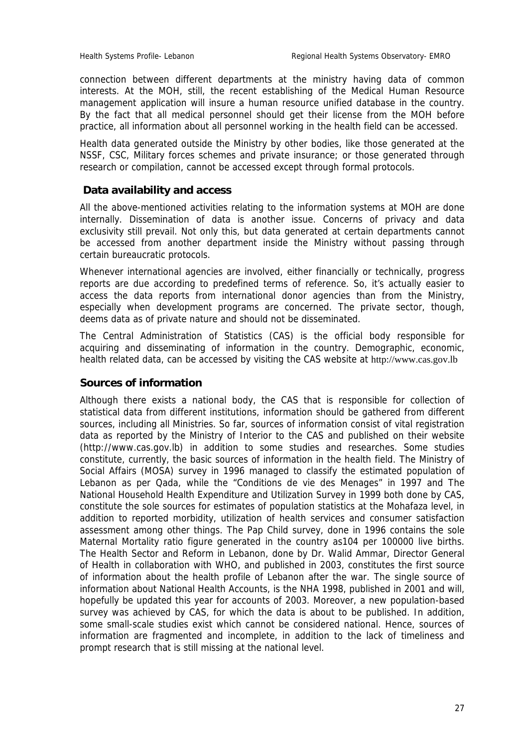connection between different departments at the ministry having data of common interests. At the MOH, still, the recent establishing of the Medical Human Resource management application will insure a human resource unified database in the country. By the fact that all medical personnel should get their license from the MOH before practice, all information about all personnel working in the health field can be accessed.

Health data generated outside the Ministry by other bodies, like those generated at the NSSF, CSC, Military forces schemes and private insurance; or those generated through research or compilation, cannot be accessed except through formal protocols.

## **Data availability and access**

All the above-mentioned activities relating to the information systems at MOH are done internally. Dissemination of data is another issue. Concerns of privacy and data exclusivity still prevail. Not only this, but data generated at certain departments cannot be accessed from another department inside the Ministry without passing through certain bureaucratic protocols.

Whenever international agencies are involved, either financially or technically, progress reports are due according to predefined terms of reference. So, it's actually easier to access the data reports from international donor agencies than from the Ministry, especially when development programs are concerned. The private sector, though, deems data as of private nature and should not be disseminated.

The Central Administration of Statistics (CAS) is the official body responsible for acquiring and disseminating of information in the country. Demographic, economic, health related data, can be accessed by visiting the CAS website at http://www.cas.gov.lb

## **Sources of information**

Although there exists a national body, the CAS that is responsible for collection of statistical data from different institutions, information should be gathered from different sources, including all Ministries. So far, sources of information consist of vital registration data as reported by the Ministry of Interior to the CAS and published on their website (http://www.cas.gov.lb) in addition to some studies and researches. Some studies constitute, currently, the basic sources of information in the health field. The Ministry of Social Affairs (MOSA) survey in 1996 managed to classify the estimated population of Lebanon as per Qada, while the "Conditions de vie des Menages" in 1997 and The National Household Health Expenditure and Utilization Survey in 1999 both done by CAS, constitute the sole sources for estimates of population statistics at the Mohafaza level, in addition to reported morbidity, utilization of health services and consumer satisfaction assessment among other things. The Pap Child survey, done in 1996 contains the sole Maternal Mortality ratio figure generated in the country as104 per 100000 live births. The Health Sector and Reform in Lebanon, done by Dr. Walid Ammar, Director General of Health in collaboration with WHO, and published in 2003, constitutes the first source of information about the health profile of Lebanon after the war. The single source of information about National Health Accounts, is the NHA 1998, published in 2001 and will, hopefully be updated this year for accounts of 2003. Moreover, a new population-based survey was achieved by CAS, for which the data is about to be published. In addition, some small-scale studies exist which cannot be considered national. Hence, sources of information are fragmented and incomplete, in addition to the lack of timeliness and prompt research that is still missing at the national level.